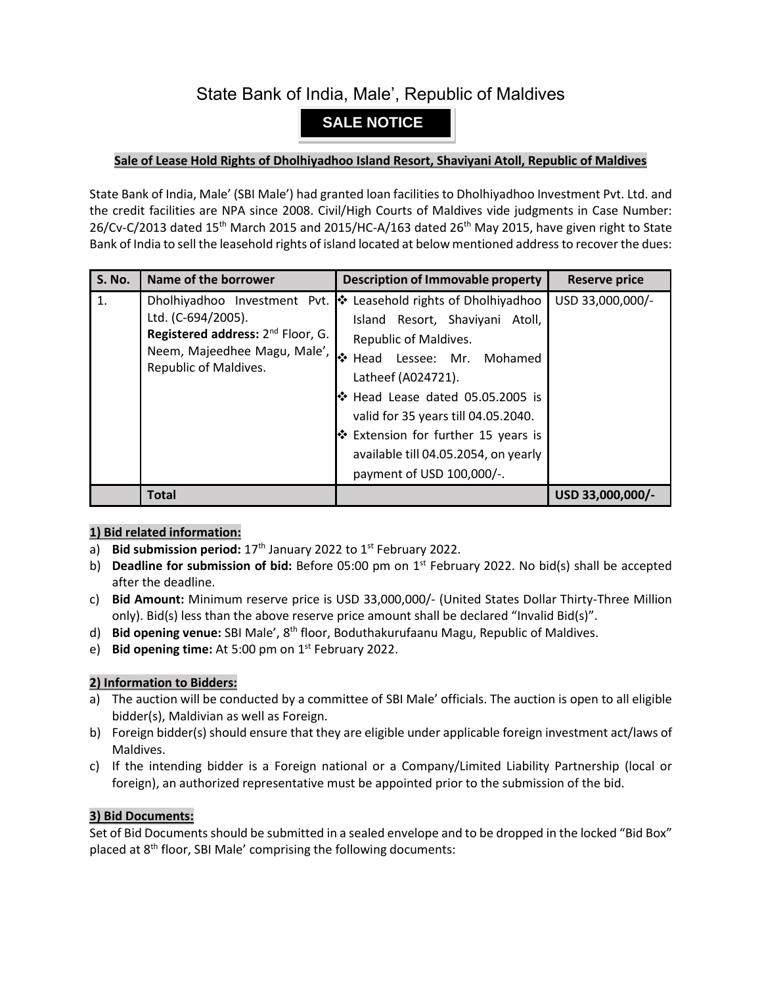# State Bank of India, Male', Republic of Maldives

## **SALE NOTICE**

### **Sale of Lease Hold Rights of Dholhiyadhoo Island Resort, Shaviyani Atoll, Republic of Maldives**

State Bank of India, Male' (SBI Male') had granted loan facilities to Dholhiyadhoo Investment Pvt. Ltd. and the credit facilities are NPA since 2008. Civil/High Courts of Maldives vide judgments in Case Number: 26/Cv-C/2013 dated 15<sup>th</sup> March 2015 and 2015/HC-A/163 dated 26<sup>th</sup> May 2015, have given right to State Bank of India to sell the leasehold rights of island located at below mentioned address to recover the dues:

| <b>S. No.</b> | Name of the borrower                                                                                                         | <b>Description of Immovable property</b>                                                                                                                                                                                                                                                                                                                                              | <b>Reserve price</b> |
|---------------|------------------------------------------------------------------------------------------------------------------------------|---------------------------------------------------------------------------------------------------------------------------------------------------------------------------------------------------------------------------------------------------------------------------------------------------------------------------------------------------------------------------------------|----------------------|
| 1.            | Ltd. (C-694/2005).<br>Registered address: 2 <sup>nd</sup> Floor, G.<br>Neem, Majeedhee Magu, Male',<br>Republic of Maldives. | Dholhiyadhoo Investment Pvt. <sup>↓</sup> Leasehold rights of Dholhiyadhoo<br>Island Resort, Shaviyani Atoll,<br>Republic of Maldives.<br>Head Lessee: Mr. Mohamed<br>Latheef (A024721).<br>$\cdot$ Head Lease dated 05.05.2005 is<br>valid for 35 years till 04.05.2040.<br>❖ Extension for further 15 years is<br>available till 04.05.2054, on yearly<br>payment of USD 100,000/-. | USD 33,000,000/-     |
|               | <b>Total</b>                                                                                                                 |                                                                                                                                                                                                                                                                                                                                                                                       | USD 33,000,000/-     |

## **1) Bid related information:**

- a) Bid submission period: 17<sup>th</sup> January 2022 to 1<sup>st</sup> February 2022.
- b) **Deadline for submission of bid:** Before 05:00 pm on 1 st February 2022. No bid(s) shall be accepted after the deadline.
- c) **Bid Amount:** Minimum reserve price is USD 33,000,000/- (United States Dollar Thirty-Three Million only). Bid(s) less than the above reserve price amount shall be declared "Invalid Bid(s)".
- d) Bid opening venue: SBI Male', 8<sup>th</sup> floor, Boduthakurufaanu Magu, Republic of Maldives.
- e) Bid opening time: At 5:00 pm on 1<sup>st</sup> February 2022.

#### **2) Information to Bidders:**

- a) The auction will be conducted by a committee of SBI Male' officials. The auction is open to all eligible bidder(s), Maldivian as well as Foreign.
- b) Foreign bidder(s) should ensure that they are eligible under applicable foreign investment act/laws of Maldives.
- c) If the intending bidder is a Foreign national or a Company/Limited Liability Partnership (local or foreign), an authorized representative must be appointed prior to the submission of the bid.

#### **3) Bid Documents:**

Set of Bid Documents should be submitted in a sealed envelope and to be dropped in the locked "Bid Box" placed at  $8<sup>th</sup>$  floor, SBI Male' comprising the following documents: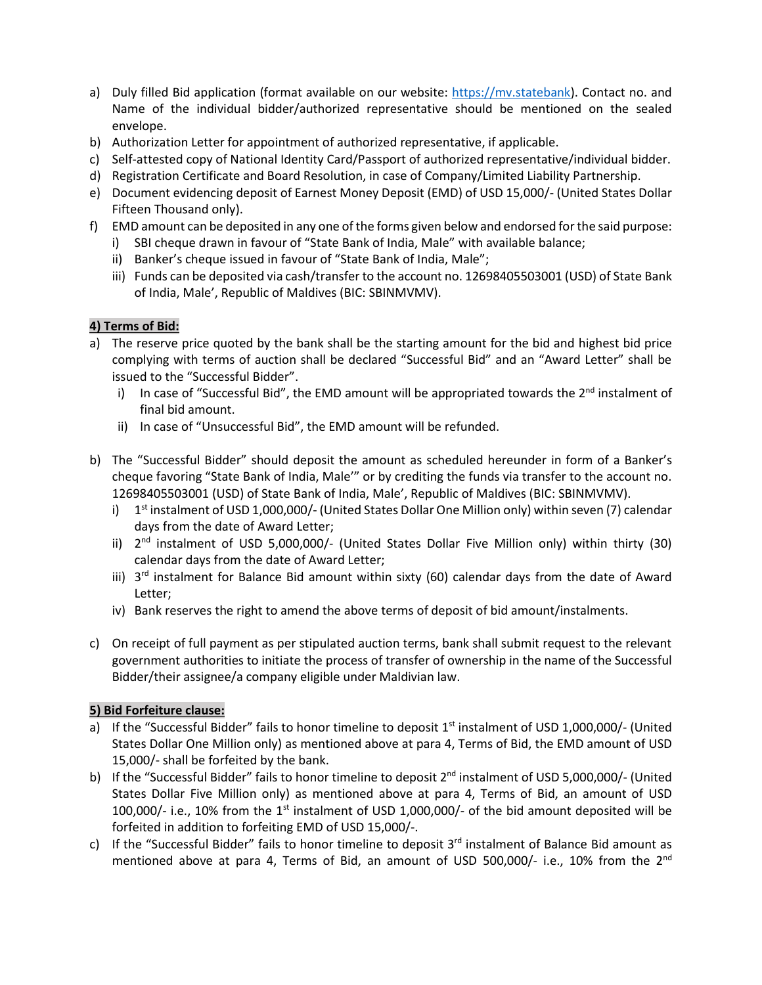- a) Duly filled Bid application (format available on our website: [https://mv.statebank\)](https://mv.statebank/). Contact no. and Name of the individual bidder/authorized representative should be mentioned on the sealed envelope.
- b) Authorization Letter for appointment of authorized representative, if applicable.
- c) Self-attested copy of National Identity Card/Passport of authorized representative/individual bidder.
- d) Registration Certificate and Board Resolution, in case of Company/Limited Liability Partnership.
- e) Document evidencing deposit of Earnest Money Deposit (EMD) of USD 15,000/- (United States Dollar Fifteen Thousand only).
- f) EMD amount can be deposited in any one of the forms given below and endorsed for the said purpose:
	- i) SBI cheque drawn in favour of "State Bank of India, Male" with available balance;
	- ii) Banker's cheque issued in favour of "State Bank of India, Male";
	- iii) Funds can be deposited via cash/transfer to the account no. 12698405503001 (USD) of State Bank of India, Male', Republic of Maldives (BIC: SBINMVMV).

## **4) Terms of Bid:**

- a) The reserve price quoted by the bank shall be the starting amount for the bid and highest bid price complying with terms of auction shall be declared "Successful Bid" and an "Award Letter" shall be issued to the "Successful Bidder".
	- i) In case of "Successful Bid", the EMD amount will be appropriated towards the  $2^{nd}$  instalment of final bid amount.
	- ii) In case of "Unsuccessful Bid", the EMD amount will be refunded.
- b) The "Successful Bidder" should deposit the amount as scheduled hereunder in form of a Banker's cheque favoring "State Bank of India, Male'" or by crediting the funds via transfer to the account no. 12698405503001 (USD) of State Bank of India, Male', Republic of Maldives (BIC: SBINMVMV).
	- i) 1<sup>st</sup> instalment of USD 1,000,000/- (United States Dollar One Million only) within seven (7) calendar days from the date of Award Letter;
	- ii)  $2<sup>nd</sup>$  instalment of USD 5,000,000/- (United States Dollar Five Million only) within thirty (30) calendar days from the date of Award Letter;
	- iii) 3<sup>rd</sup> instalment for Balance Bid amount within sixty (60) calendar days from the date of Award Letter;
	- iv) Bank reserves the right to amend the above terms of deposit of bid amount/instalments.
- c) On receipt of full payment as per stipulated auction terms, bank shall submit request to the relevant government authorities to initiate the process of transfer of ownership in the name of the Successful Bidder/their assignee/a company eligible under Maldivian law.

## **5) Bid Forfeiture clause:**

- a) If the "Successful Bidder" fails to honor timeline to deposit  $1<sup>st</sup>$  instalment of USD 1,000,000/- (United States Dollar One Million only) as mentioned above at para 4, Terms of Bid, the EMD amount of USD 15,000/- shall be forfeited by the bank.
- b) If the "Successful Bidder" fails to honor timeline to deposit  $2^{nd}$  instalment of USD 5,000,000/- (United States Dollar Five Million only) as mentioned above at para 4, Terms of Bid, an amount of USD 100,000/- i.e., 10% from the 1<sup>st</sup> instalment of USD 1,000,000/- of the bid amount deposited will be forfeited in addition to forfeiting EMD of USD 15,000/-.
- c) If the "Successful Bidder" fails to honor timeline to deposit 3<sup>rd</sup> instalment of Balance Bid amount as mentioned above at para 4, Terms of Bid, an amount of USD 500,000/- i.e., 10% from the 2<sup>nd</sup>